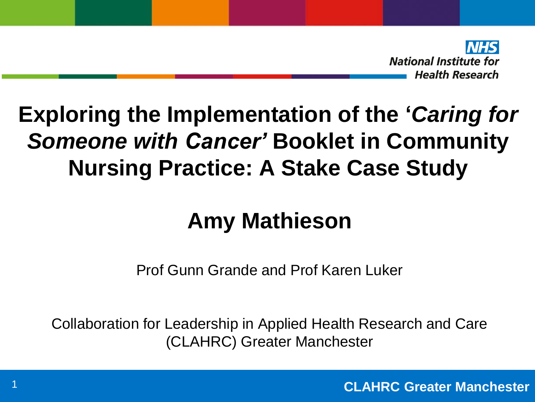

# **Exploring the Implementation of the '***Caring for Someone with Cancer'* **Booklet in Community Nursing Practice: A Stake Case Study**

# **Amy Mathieson**

Prof Gunn Grande and Prof Karen Luker

Collaboration for Leadership in Applied Health Research and Care (CLAHRC) Greater Manchester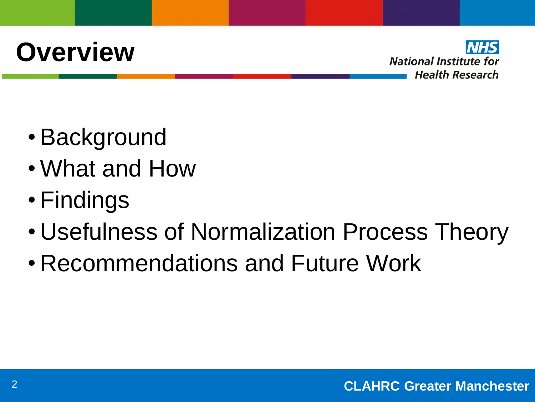# **Overview**



- Background
- What and How
- Findings
- Usefulness of Normalization Process Theory
- Recommendations and Future Work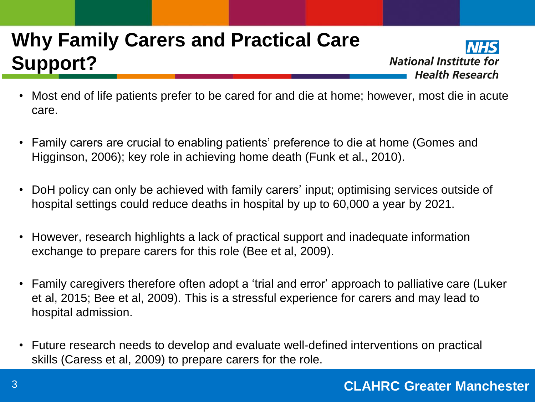### **Why Family Carers and Practical Care Support?**



- Most end of life patients prefer to be cared for and die at home; however, most die in acute care.
- Family carers are crucial to enabling patients' preference to die at home (Gomes and Higginson, 2006); key role in achieving home death (Funk et al., 2010).
- DoH policy can only be achieved with family carers' input; optimising services outside of hospital settings could reduce deaths in hospital by up to 60,000 a year by 2021.
- However, research highlights a lack of practical support and inadequate information exchange to prepare carers for this role (Bee et al, 2009).
- Family caregivers therefore often adopt a 'trial and error' approach to palliative care (Luker et al, 2015; Bee et al, 2009). This is a stressful experience for carers and may lead to hospital admission.
- Future research needs to develop and evaluate well-defined interventions on practical skills (Caress et al, 2009) to prepare carers for the role.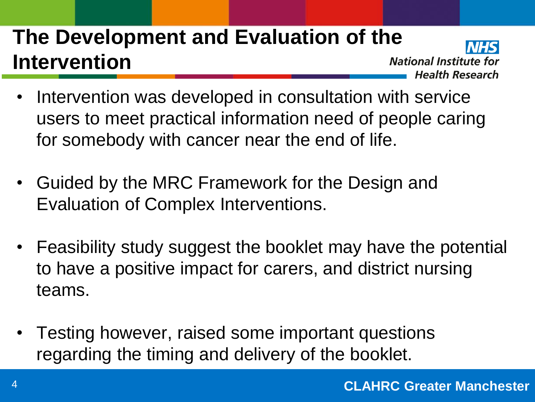## **The Development and Evaluation of the Intervention**

**National Institute for Health Research** 

- Intervention was developed in consultation with service users to meet practical information need of people caring for somebody with cancer near the end of life.
- Guided by the MRC Framework for the Design and Evaluation of Complex Interventions.
- Feasibility study suggest the booklet may have the potential to have a positive impact for carers, and district nursing teams.
- Testing however, raised some important questions regarding the timing and delivery of the booklet.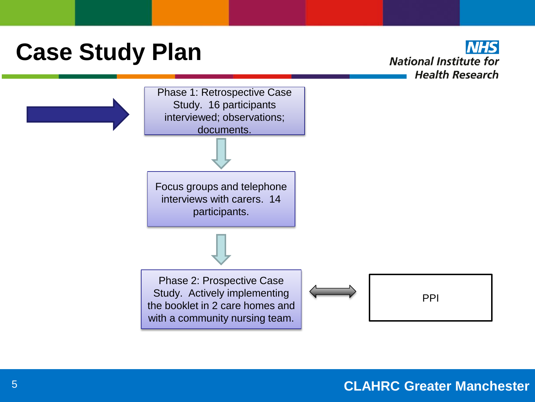# **Case Study Plan**

**NHS National Institute for Health Research** 

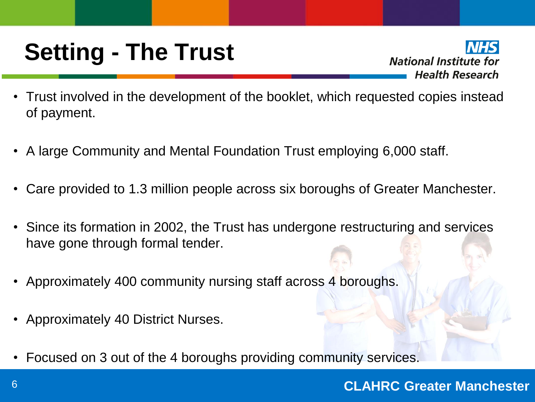# **Setting - The Trust**

**National Institute for Health Research** 

- Trust involved in the development of the booklet, which requested copies instead of payment.
- A large Community and Mental Foundation Trust employing 6,000 staff.
- Care provided to 1.3 million people across six boroughs of Greater Manchester.
- Since its formation in 2002, the Trust has undergone restructuring and services have gone through formal tender.
- Approximately 400 community nursing staff across 4 boroughs.
- Approximately 40 District Nurses.
- Focused on 3 out of the 4 boroughs providing community services.

#### **CLAHRC Greater Manchester** 6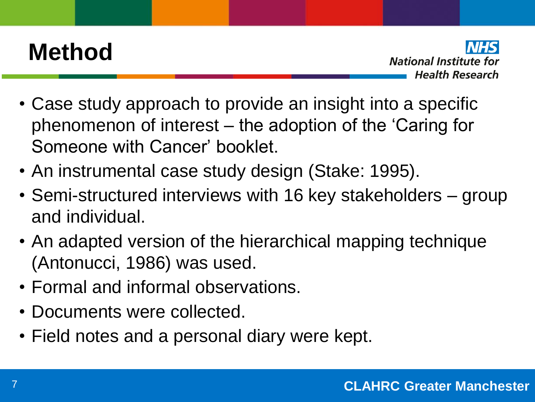# **Method**

**National Institute for Health Research** 

- Case study approach to provide an insight into a specific phenomenon of interest – the adoption of the 'Caring for Someone with Cancer' booklet.
- An instrumental case study design (Stake: 1995).
- Semi-structured interviews with 16 key stakeholders group and individual.
- An adapted version of the hierarchical mapping technique (Antonucci, 1986) was used.
- Formal and informal observations.
- Documents were collected.
- Field notes and a personal diary were kept.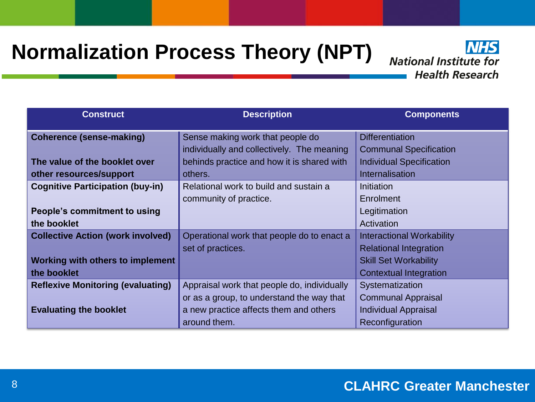#### **Normalization Process Theory (NPT)**

**NHS National Institute for Health Research** 

| <b>Construct</b>                         | <b>Description</b>                          | <b>Components</b>                |
|------------------------------------------|---------------------------------------------|----------------------------------|
| <b>Coherence (sense-making)</b>          | Sense making work that people do            | <b>Differentiation</b>           |
|                                          | individually and collectively. The meaning  | <b>Communal Specification</b>    |
| The value of the booklet over            | behinds practice and how it is shared with  | <b>Individual Specification</b>  |
| other resources/support                  | others.                                     | Internalisation                  |
| <b>Cognitive Participation (buy-in)</b>  | Relational work to build and sustain a      | Initiation                       |
|                                          | community of practice.                      | Enrolment                        |
| People's commitment to using             |                                             | Legitimation                     |
| the booklet                              |                                             | Activation                       |
| <b>Collective Action (work involved)</b> | Operational work that people do to enact a  | <b>Interactional Workability</b> |
|                                          | set of practices.                           | <b>Relational Integration</b>    |
| <b>Working with others to implement</b>  |                                             | <b>Skill Set Workability</b>     |
| the booklet                              |                                             | <b>Contextual Integration</b>    |
| <b>Reflexive Monitoring (evaluating)</b> | Appraisal work that people do, individually | Systematization                  |
|                                          | or as a group, to understand the way that   | <b>Communal Appraisal</b>        |
| <b>Evaluating the booklet</b>            | a new practice affects them and others      | <b>Individual Appraisal</b>      |
|                                          | around them.                                | Reconfiguration                  |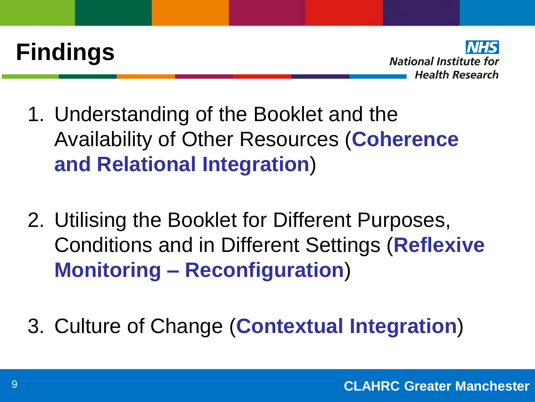



- 1. Understanding of the Booklet and the Availability of Other Resources (**Coherence and Relational Integration**)
- 2. Utilising the Booklet for Different Purposes, Conditions and in Different Settings (**Reflexive Monitoring – Reconfiguration**)
- 3. Culture of Change (**Contextual Integration**)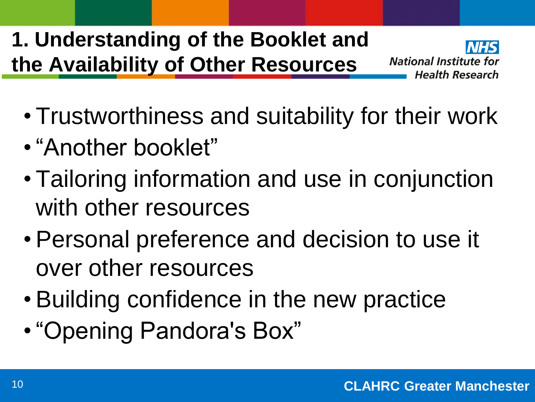## **1. Understanding of the Booklet and the Availability of Other Resources**



- Trustworthiness and suitability for their work
- "Another booklet"
- Tailoring information and use in conjunction with other resources
- Personal preference and decision to use it over other resources
- Building confidence in the new practice
- "Opening Pandora's Box"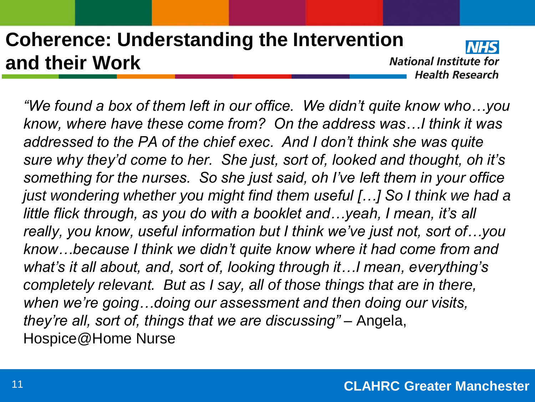#### **Coherence: Understanding the Intervention and their Work**

**National Institute for Health Research** 

*"We found a box of them left in our office. We didn't quite know who…you know, where have these come from? On the address was…I think it was addressed to the PA of the chief exec. And I don't think she was quite sure why they'd come to her. She just, sort of, looked and thought, oh it's something for the nurses. So she just said, oh I've left them in your office just wondering whether you might find them useful [...] So I think we had a little flick through, as you do with a booklet and…yeah, I mean, it's all really, you know, useful information but I think we've just not, sort of…you know…because I think we didn't quite know where it had come from and what's it all about, and, sort of, looking through it…I mean, everything's completely relevant. But as I say, all of those things that are in there, when we're going…doing our assessment and then doing our visits, they're all, sort of, things that we are discussing" –* Angela, Hospice@Home Nurse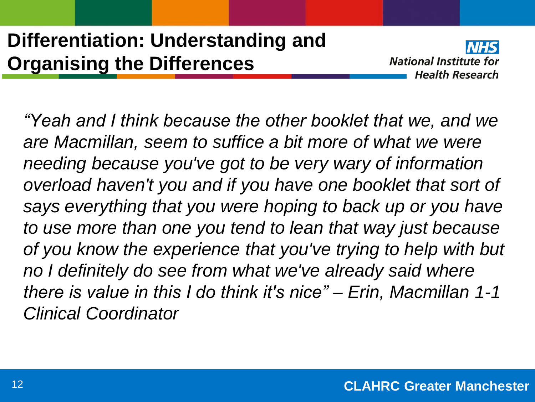#### **Differentiation: Understanding and Organising the Differences**



*"Yeah and I think because the other booklet that we, and we are Macmillan, seem to suffice a bit more of what we were needing because you've got to be very wary of information overload haven't you and if you have one booklet that sort of says everything that you were hoping to back up or you have to use more than one you tend to lean that way just because of you know the experience that you've trying to help with but no I definitely do see from what we've already said where there is value in this I do think it's nice" – Erin, Macmillan 1-1 Clinical Coordinator*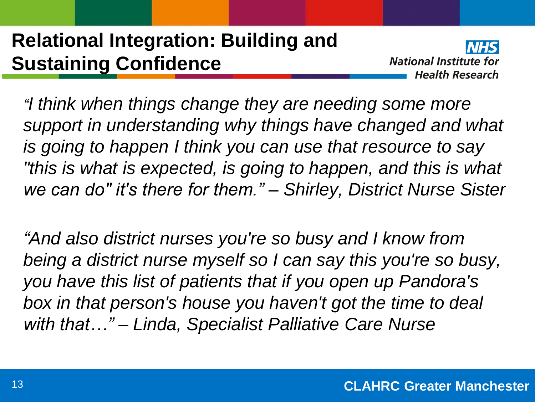#### **Relational Integration: Building and Sustaining Confidence**

**National Institute for Health Research** 

*"I think when things change they are needing some more support in understanding why things have changed and what is going to happen I think you can use that resource to say "this is what is expected, is going to happen, and this is what we can do" it's there for them." – Shirley, District Nurse Sister* 

*"And also district nurses you're so busy and I know from being a district nurse myself so I can say this you're so busy, you have this list of patients that if you open up Pandora's box in that person's house you haven't got the time to deal with that…" – Linda, Specialist Palliative Care Nurse*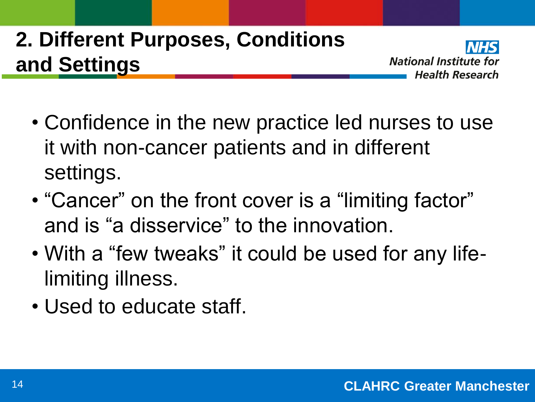# **2. Different Purposes, Conditions and Settings**



- Confidence in the new practice led nurses to use it with non-cancer patients and in different settings.
- "Cancer" on the front cover is a "limiting factor" and is "a disservice" to the innovation.
- With a "few tweaks" it could be used for any lifelimiting illness.
- Used to educate staff.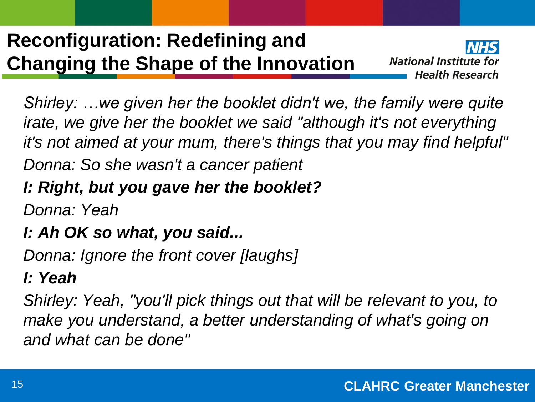### **Reconfiguration: Redefining and Changing the Shape of the Innovation**



*Shirley: …we given her the booklet didn't we, the family were quite irate, we give her the booklet we said "although it's not everything it's not aimed at your mum, there's things that you may find helpful"*

*Donna: So she wasn't a cancer patient*

#### *I: Right, but you gave her the booklet?*

*Donna: Yeah*

#### *I: Ah OK so what, you said...*

*Donna: Ignore the front cover [laughs]*

#### *I: Yeah*

*Shirley: Yeah, "you'll pick things out that will be relevant to you, to make you understand, a better understanding of what's going on and what can be done"*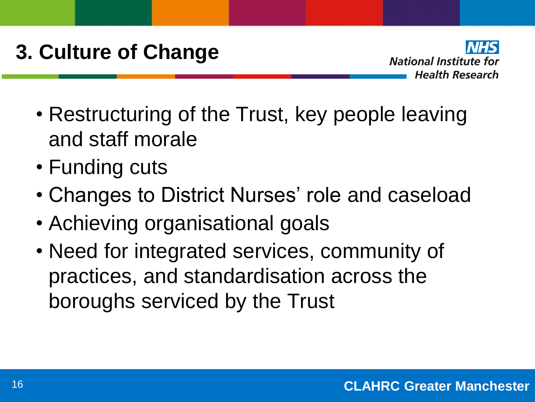## **3. Culture of Change**



- Restructuring of the Trust, key people leaving and staff morale
- Funding cuts
- Changes to District Nurses' role and caseload
- Achieving organisational goals
- Need for integrated services, community of practices, and standardisation across the boroughs serviced by the Trust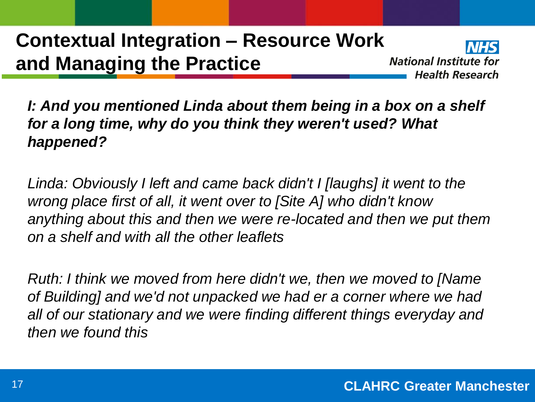#### **Contextual Integration – Resource Work and Managing the Practice**

**National Institute for Health Research** 

*I: And you mentioned Linda about them being in a box on a shelf for a long time, why do you think they weren't used? What happened?*

*Linda: Obviously I left and came back didn't I [laughs] it went to the wrong place first of all, it went over to [Site A] who didn't know anything about this and then we were re-located and then we put them on a shelf and with all the other leaflets*

*Ruth: I think we moved from here didn't we, then we moved to [Name of Building] and we'd not unpacked we had er a corner where we had all of our stationary and we were finding different things everyday and then we found this*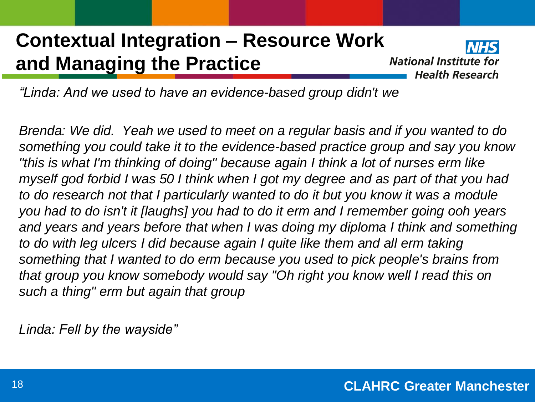#### **Contextual Integration – Resource Work and Managing the Practice**



*"Linda: And we used to have an evidence-based group didn't we*

*Brenda: We did. Yeah we used to meet on a regular basis and if you wanted to do something you could take it to the evidence-based practice group and say you know "this is what I'm thinking of doing" because again I think a lot of nurses erm like myself god forbid I was 50 I think when I got my degree and as part of that you had to do research not that I particularly wanted to do it but you know it was a module you had to do isn't it [laughs] you had to do it erm and I remember going ooh years*  and years and years before that when I was doing my diploma I think and something *to do with leg ulcers I did because again I quite like them and all erm taking something that I wanted to do erm because you used to pick people's brains from that group you know somebody would say "Oh right you know well I read this on such a thing" erm but again that group*

*Linda: Fell by the wayside"*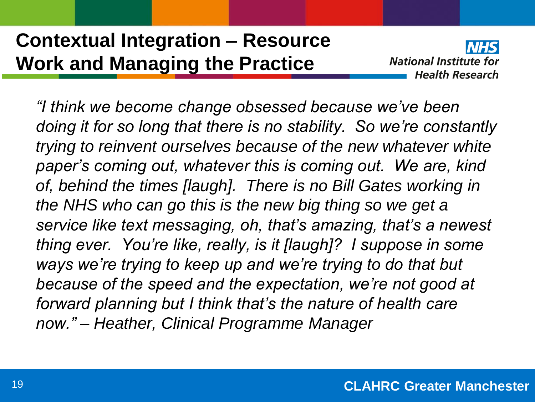#### **Contextual Integration – Resource Work and Managing the Practice**



*"I think we become change obsessed because we've been doing it for so long that there is no stability. So we're constantly trying to reinvent ourselves because of the new whatever white paper's coming out, whatever this is coming out. We are, kind of, behind the times [laugh]. There is no Bill Gates working in the NHS who can go this is the new big thing so we get a service like text messaging, oh, that's amazing, that's a newest thing ever. You're like, really, is it [laugh]? I suppose in some ways we're trying to keep up and we're trying to do that but because of the speed and the expectation, we're not good at forward planning but I think that's the nature of health care now." – Heather, Clinical Programme Manager*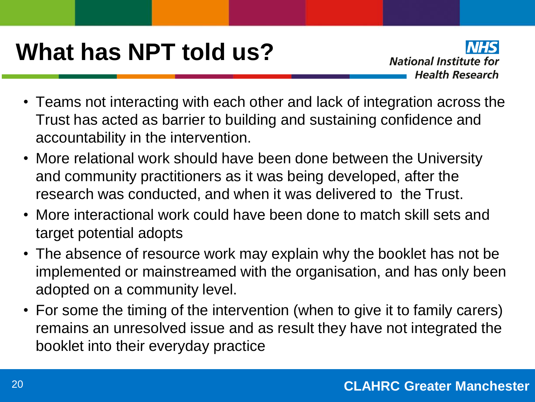# **What has NPT told us?**

**National Institute for Health Research** 

- Teams not interacting with each other and lack of integration across the Trust has acted as barrier to building and sustaining confidence and accountability in the intervention.
- More relational work should have been done between the University and community practitioners as it was being developed, after the research was conducted, and when it was delivered to the Trust.
- More interactional work could have been done to match skill sets and target potential adopts
- The absence of resource work may explain why the booklet has not be implemented or mainstreamed with the organisation, and has only been adopted on a community level.
- For some the timing of the intervention (when to give it to family carers) remains an unresolved issue and as result they have not integrated the booklet into their everyday practice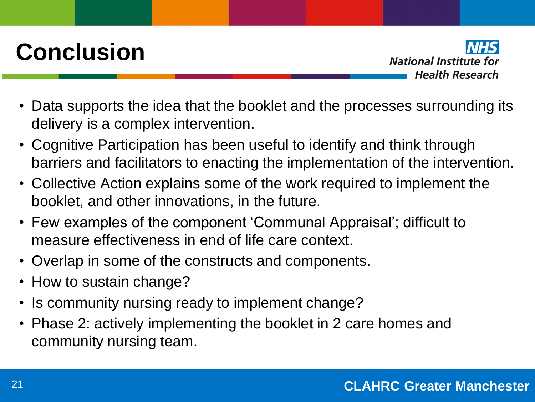# **Conclusion**

**National Institute for Health Research** 

- Data supports the idea that the booklet and the processes surrounding its delivery is a complex intervention.
- Cognitive Participation has been useful to identify and think through barriers and facilitators to enacting the implementation of the intervention.
- Collective Action explains some of the work required to implement the booklet, and other innovations, in the future.
- Few examples of the component 'Communal Appraisal'; difficult to measure effectiveness in end of life care context.
- Overlap in some of the constructs and components.
- How to sustain change?
- Is community nursing ready to implement change?
- Phase 2: actively implementing the booklet in 2 care homes and community nursing team.